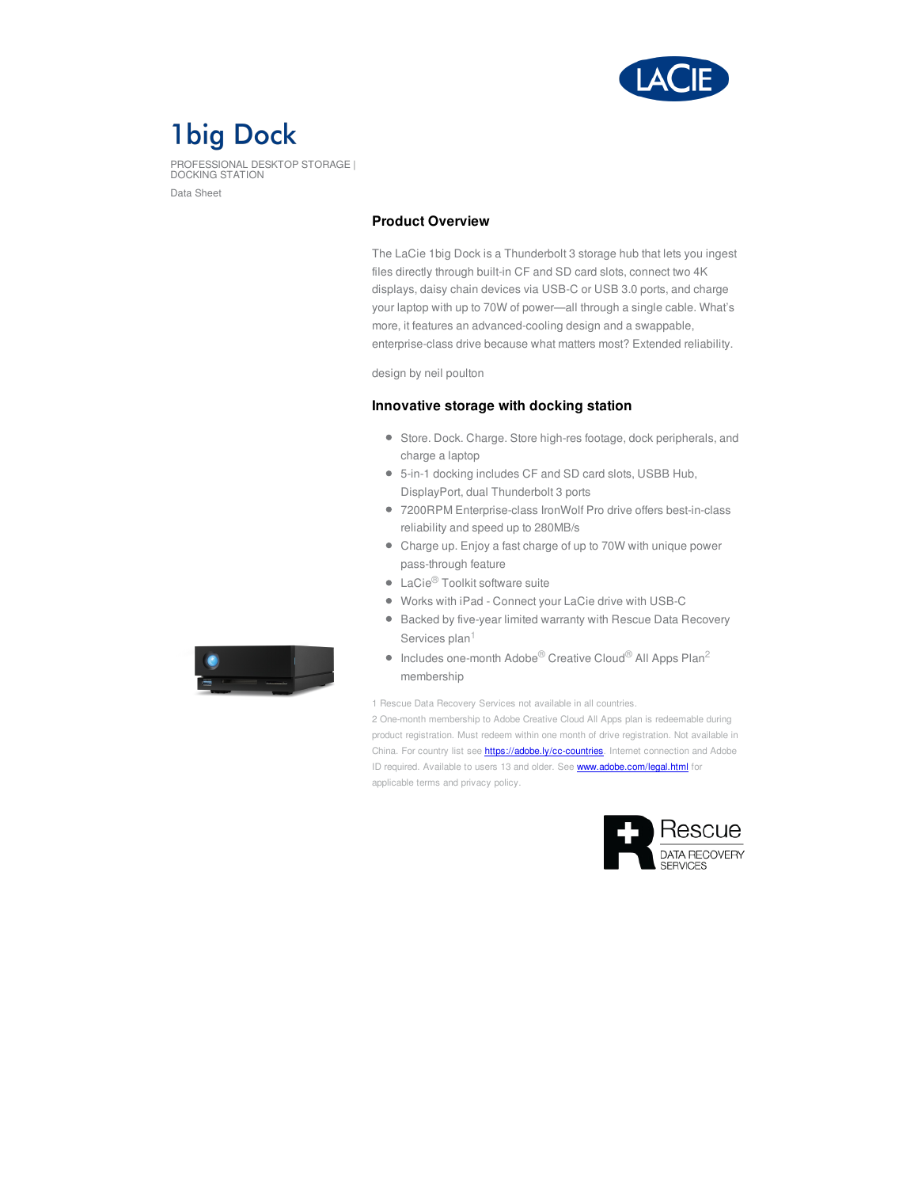

# **1big Dock**

PROFESSIONAL DESKTOP STORAGE | DOCKING STATION Data Sheet

# **Product Overview**

The LaCie 1big Dock is a Thunderbolt 3 storage hub that lets you ingest files directly through built-in CF and SD card slots, connect two 4K displays, daisy chain devices via USB-C or USB 3.0 ports, and charge your laptop with up to 70W of power—all through a single cable. What's more, it features an advanced-cooling design and a swappable, enterprise-class drive because what matters most? Extended reliability.

design by neil poulton

### **Innovative storage with docking station**

- Store. Dock. Charge. Store high-res footage, dock peripherals, and charge a laptop
- 5-in-1 docking includes CF and SD card slots, USBB Hub, DisplayPort, dual Thunderbolt 3 ports
- 7200RPM Enterprise-class IronWolf Pro drive offers best-in-class reliability and speed up to 280MB/s
- Charge up. Enjoy a fast charge of up to 70W with unique power pass-through feature
- LaCie<sup>®</sup> Toolkit software suite
- Works with iPad Connect your LaCie drive with USB-C
- Backed by five-year limited warranty with Rescue Data Recovery Services plan<sup>1</sup>
- Includes one-month Adobe<sup>®</sup> Creative Cloud<sup>®</sup> All Apps Plan<sup>2</sup> membership

1 Rescue Data Recovery Services not available in all countries.

2 One-month membership to Adobe Creative Cloud All Apps plan is redeemable during product registration. Must redeem within one month of drive registration. Not available in China. For country list see **<https://adobe.ly/cc-countries>**. Internet connection and Adobe ID required. Available to users 13 and older. See **<www.adobe.com/legal.html>** for applicable terms and privacy policy.